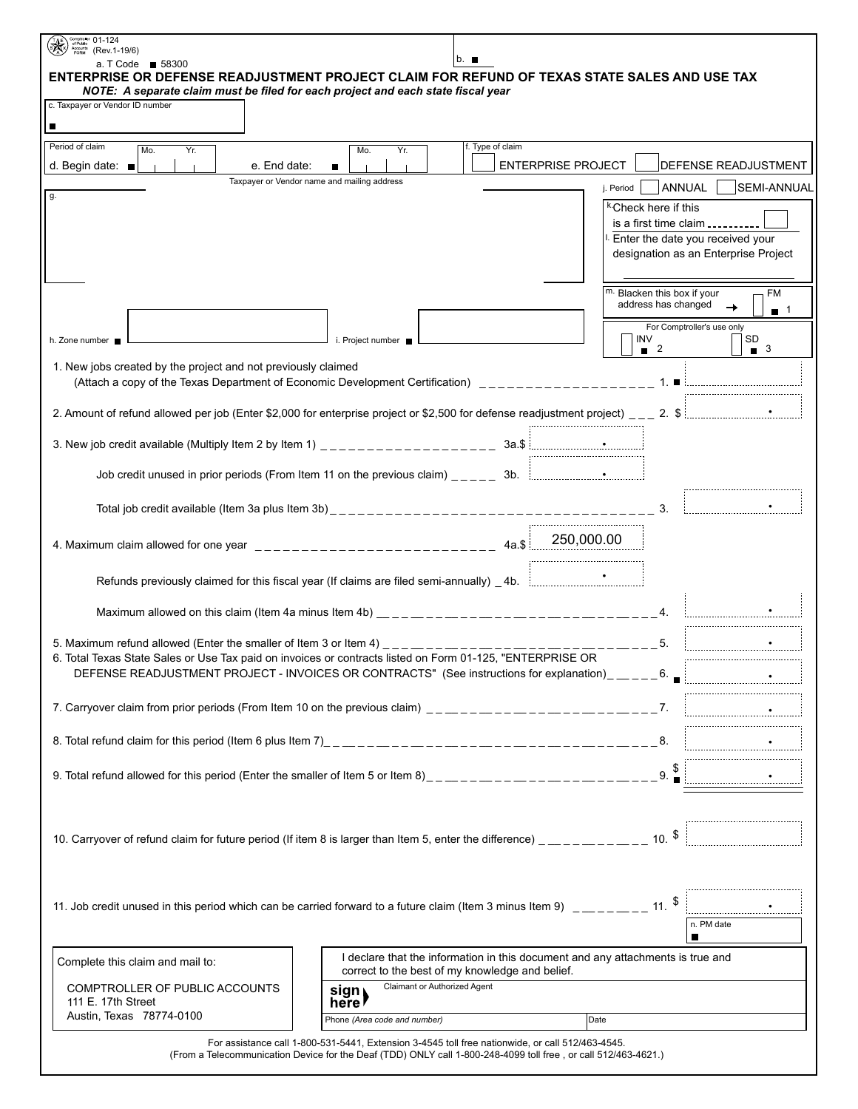| Comptroller 01-124<br>Accounts (Rev.1-19/6)                                                                                                                                                                                                                                                   |                                                                                 |                  |                           |                                          |                                     |  |
|-----------------------------------------------------------------------------------------------------------------------------------------------------------------------------------------------------------------------------------------------------------------------------------------------|---------------------------------------------------------------------------------|------------------|---------------------------|------------------------------------------|-------------------------------------|--|
| a. T Code ■ 58300<br>ENTERPRISE OR DEFENSE READJUSTMENT PROJECT CLAIM FOR REFUND OF TEXAS STATE SALES AND USE TAX                                                                                                                                                                             |                                                                                 | b. ∎             |                           |                                          |                                     |  |
| NOTE: A separate claim must be filed for each project and each state fiscal year<br>c. Taxpayer or Vendor ID number                                                                                                                                                                           |                                                                                 |                  |                           |                                          |                                     |  |
| П                                                                                                                                                                                                                                                                                             |                                                                                 |                  |                           |                                          |                                     |  |
| Period of claim                                                                                                                                                                                                                                                                               |                                                                                 | f. Type of claim |                           |                                          |                                     |  |
| Mo.<br>Yr.<br>e. End date:<br>d. Begin date: $\blacksquare$                                                                                                                                                                                                                                   | Yr.<br>Mo.<br>$\blacksquare$                                                    |                  | <b>ENTERPRISE PROJECT</b> |                                          | <b>DEFENSE READJUSTMENT</b>         |  |
|                                                                                                                                                                                                                                                                                               | Taxpayer or Vendor name and mailing address                                     |                  | j. Period                 | ANNUAL                                   | <b>SEMI-ANNUAL</b>                  |  |
| g.                                                                                                                                                                                                                                                                                            |                                                                                 |                  |                           | <sup>k.</sup> Check here if this         |                                     |  |
|                                                                                                                                                                                                                                                                                               |                                                                                 |                  |                           |                                          | is a first time claim $\frac{1}{2}$ |  |
|                                                                                                                                                                                                                                                                                               | Enter the date you received your<br>designation as an Enterprise Project        |                  |                           |                                          |                                     |  |
|                                                                                                                                                                                                                                                                                               |                                                                                 |                  |                           |                                          |                                     |  |
|                                                                                                                                                                                                                                                                                               |                                                                                 |                  |                           | m. Blacken this box if your              | <b>FM</b>                           |  |
|                                                                                                                                                                                                                                                                                               |                                                                                 |                  |                           | address has changed                      | $\rightarrow$<br>$\blacksquare$ 1   |  |
| h. Zone number                                                                                                                                                                                                                                                                                | $\blacksquare$ i. Project number                                                |                  |                           | For Comptroller's use only<br><b>INV</b> | SD                                  |  |
|                                                                                                                                                                                                                                                                                               |                                                                                 |                  |                           | $\blacksquare$ 2                         | $\blacksquare$ 3                    |  |
| 1. New jobs created by the project and not previously claimed                                                                                                                                                                                                                                 |                                                                                 |                  |                           |                                          |                                     |  |
|                                                                                                                                                                                                                                                                                               |                                                                                 |                  |                           |                                          |                                     |  |
|                                                                                                                                                                                                                                                                                               |                                                                                 |                  |                           |                                          |                                     |  |
|                                                                                                                                                                                                                                                                                               |                                                                                 |                  |                           |                                          |                                     |  |
| Job credit unused in prior periods (From Item 11 on the previous claim) $\frac{1}{2}$ = $\frac{1}{2}$ 3b. $\frac{1}{2}$ = $\frac{1}{2}$ = $\frac{1}{2}$ = $\frac{1}{2}$ = $\frac{1}{2}$ = $\frac{1}{2}$ = $\frac{1}{2}$ = $\frac{1}{2}$ = $\frac{1}{2}$ = $\frac{1}{2}$ = $\frac$             |                                                                                 |                  |                           |                                          |                                     |  |
|                                                                                                                                                                                                                                                                                               |                                                                                 |                  |                           |                                          |                                     |  |
|                                                                                                                                                                                                                                                                                               |                                                                                 |                  |                           |                                          |                                     |  |
|                                                                                                                                                                                                                                                                                               |                                                                                 |                  |                           |                                          |                                     |  |
|                                                                                                                                                                                                                                                                                               |                                                                                 |                  |                           |                                          |                                     |  |
| Refunds previously claimed for this fiscal year (If claims are filed semi-annually) _4b. [[[[[[[[[[[[[[[[[[[[                                                                                                                                                                                 |                                                                                 |                  |                           |                                          |                                     |  |
|                                                                                                                                                                                                                                                                                               |                                                                                 |                  |                           |                                          |                                     |  |
| Maximum allowed on this claim (Item 4a minus Item 4b) $\frac{1}{2}$ = $\frac{1}{2}$ = $\frac{1}{2}$ = $\frac{1}{2}$ = $\frac{1}{2}$ = $\frac{1}{2}$ = $\frac{1}{2}$ = $\frac{1}{2}$ = $\frac{1}{2}$ = $\frac{1}{2}$ = $\frac{1}{2}$ = $\frac{1}{2}$ = $\frac{1}{2}$ = $\frac{1}{2}$ =         |                                                                                 |                  |                           |                                          |                                     |  |
| 5. Maximum refund allowed (Enter the smaller of Item 3 or Item 4) $\frac{1}{2}$ $\frac{1}{2}$ $\frac{1}{2}$ $\frac{1}{2}$ $\frac{1}{2}$ $\frac{1}{2}$ $\frac{1}{2}$ $\frac{1}{2}$ $\frac{1}{2}$ $\frac{1}{2}$ $\frac{1}{2}$ $\frac{1}{2}$ $\frac{1}{2}$ $\frac{1}{2}$ $\frac{1}{2}$ $\frac{1$ |                                                                                 |                  |                           |                                          |                                     |  |
| DEFENSE READJUSTMENT PROJECT - INVOICES OR CONTRACTS" (See instructions for explanation)_____6. a contraction of                                                                                                                                                                              |                                                                                 |                  |                           |                                          |                                     |  |
|                                                                                                                                                                                                                                                                                               |                                                                                 |                  |                           |                                          |                                     |  |
| 7. Carryover claim from prior periods (From Item 10 on the previous claim) __________________________7.                                                                                                                                                                                       |                                                                                 |                  |                           |                                          |                                     |  |
|                                                                                                                                                                                                                                                                                               |                                                                                 |                  |                           |                                          |                                     |  |
|                                                                                                                                                                                                                                                                                               |                                                                                 |                  |                           |                                          |                                     |  |
|                                                                                                                                                                                                                                                                                               |                                                                                 |                  |                           |                                          |                                     |  |
|                                                                                                                                                                                                                                                                                               |                                                                                 |                  |                           |                                          |                                     |  |
|                                                                                                                                                                                                                                                                                               |                                                                                 |                  |                           |                                          |                                     |  |
| 10. Carryover of refund claim for future period (If item 8 is larger than Item 5, enter the difference) _ _ _ _ _ _ _ _ _ _ _ _ 10. $\frac{1}{2}$ 10. $\frac{1}{2}$                                                                                                                           |                                                                                 |                  |                           |                                          |                                     |  |
|                                                                                                                                                                                                                                                                                               |                                                                                 |                  |                           |                                          |                                     |  |
|                                                                                                                                                                                                                                                                                               |                                                                                 |                  |                           |                                          |                                     |  |
| 11. Job credit unused in this period which can be carried forward to a future claim (Item 3 minus Item 9) $\mu_{\text{max}} = 1.8$                                                                                                                                                            |                                                                                 |                  |                           |                                          |                                     |  |
|                                                                                                                                                                                                                                                                                               |                                                                                 |                  |                           |                                          | n. PM date                          |  |
|                                                                                                                                                                                                                                                                                               | I declare that the information in this document and any attachments is true and |                  |                           | П                                        |                                     |  |
| Complete this claim and mail to:                                                                                                                                                                                                                                                              | correct to the best of my knowledge and belief.                                 |                  |                           |                                          |                                     |  |
| COMPTROLLER OF PUBLIC ACCOUNTS                                                                                                                                                                                                                                                                | Claimant or Authorized Agent<br>sign                                            |                  |                           |                                          |                                     |  |
| 111 E. 17th Street<br>Austin, Texas 78774-0100                                                                                                                                                                                                                                                | here<br>Phone (Area code and number)                                            |                  | Date                      |                                          |                                     |  |
|                                                                                                                                                                                                                                                                                               |                                                                                 |                  |                           |                                          |                                     |  |

For assistance call 1-800-531-5441, Extension 3-4545 toll free nationwide, or call 512/463-4545. (From a Telecommunication Device for the Deaf (TDD) ONLY call 1-800-248-4099 toll free , or call 512/463-4621.)